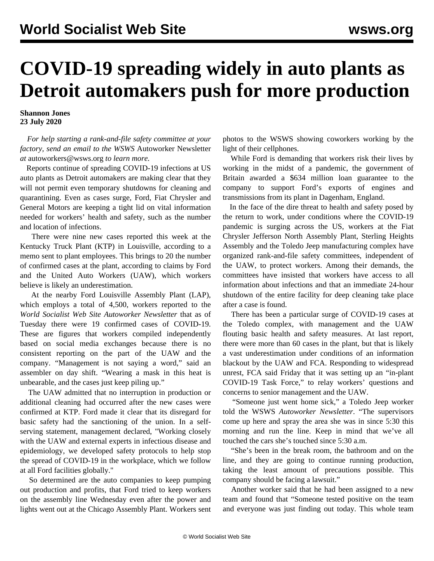## **COVID-19 spreading widely in auto plants as Detroit automakers push for more production**

**Shannon Jones 23 July 2020**

 *For help starting a rank-and-file safety committee at your factory, send an email to the WSWS* Autoworker Newsletter *at* [autoworkers@wsws.org](mailto:autoworkers@wsws.org) *to learn more.*

 Reports continue of spreading COVID-19 infections at US auto plants as Detroit automakers are making clear that they will not permit even temporary shutdowns for cleaning and quarantining. Even as cases surge, Ford, Fiat Chrysler and General Motors are keeping a tight lid on vital information needed for workers' health and safety, such as the number and location of infections.

 There were nine new cases reported this week at the Kentucky Truck Plant (KTP) in Louisville, according to a memo sent to plant employees. This brings to 20 the number of confirmed cases at the plant, according to claims by Ford and the United Auto Workers (UAW), which workers believe is likely an underestimation.

 At the nearby Ford Louisville Assembly Plant (LAP), which employs a total of 4,500, workers reported to the *World Socialist Web Site Autoworker Newsletter* that as of Tuesday there were 19 confirmed cases of COVID-19. These are figures that workers compiled independently based on social media exchanges because there is no consistent reporting on the part of the UAW and the company. "Management is not saying a word," said an assembler on day shift. "Wearing a mask in this heat is unbearable, and the cases just keep piling up."

 The UAW admitted that no interruption in production or additional cleaning had occurred after the new cases were confirmed at KTP. Ford made it clear that its disregard for basic safety had the sanctioning of the union. In a selfserving statement, management declared, "Working closely with the UAW and external experts in infectious disease and epidemiology, we developed safety protocols to help stop the spread of COVID-19 in the workplace, which we follow at all Ford facilities globally."

 So determined are the auto companies to keep pumping out production and profits, that Ford tried to keep workers on the assembly line Wednesday even after the power and lights went out at the Chicago Assembly Plant. Workers sent photos to the WSWS showing coworkers working by the light of their cellphones.

 While Ford is demanding that workers risk their lives by working in the midst of a pandemic, the government of Britain awarded a \$634 million loan guarantee to the company to support Ford's exports of engines and transmissions from its plant in Dagenham, England.

 In the face of the dire threat to health and safety posed by the return to work, under conditions where the COVID-19 pandemic is surging across the US, workers at the Fiat Chrysler Jefferson North Assembly Plant, Sterling Heights Assembly and the Toledo Jeep manufacturing complex have organized rank-and-file [safety committees,](/en/articles/2020/07/18/safe-j18.html) independent of the UAW, to protect workers. Among their demands, the committees have insisted that workers have access to all information about infections and that an immediate 24-hour shutdown of the entire facility for deep cleaning take place after a case is found.

 There has been a particular surge of COVID-19 cases at the Toledo complex, with management and the UAW flouting basic health and safety measures. At last report, there were more than 60 cases in the plant, but that is likely a vast underestimation under conditions of an information blackout by the UAW and FCA. Responding to widespread unrest, FCA said Friday that it was setting up an "in-plant COVID-19 Task Force," to relay workers' questions and concerns to senior management and the UAW.

 "Someone just went home sick," a Toledo Jeep worker told the WSWS *Autoworker Newsletter*. "The supervisors come up here and spray the area she was in since 5:30 this morning and run the line. Keep in mind that we've all touched the cars she's touched since 5:30 a.m.

 "She's been in the break room, the bathroom and on the line, and they are going to continue running production, taking the least amount of precautions possible. This company should be facing a lawsuit."

 Another worker said that he had been assigned to a new team and found that "Someone tested positive on the team and everyone was just finding out today. This whole team